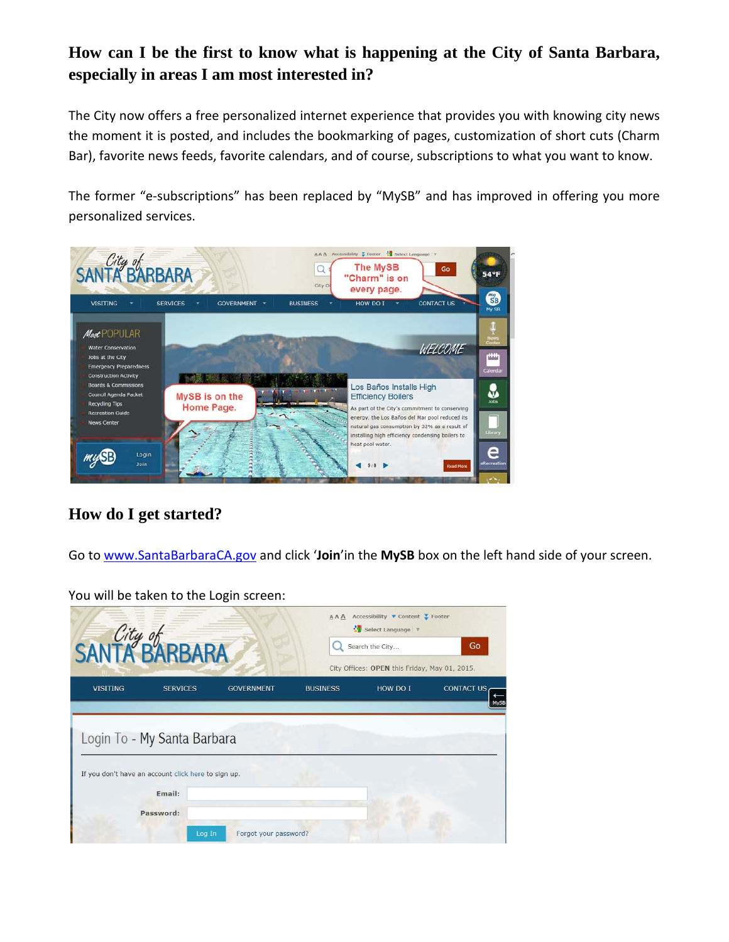## **How can I be the first to know what is happening at the City of Santa Barbara, especially in areas I am most interested in?**

The City now offers a free personalized internet experience that provides you with knowing city news the moment it is posted, and includes the bookmarking of pages, customization of short cuts (Charm Bar), favorite news feeds, favorite calendars, and of course, subscriptions to what you want to know.

The former "e-subscriptions" has been replaced by "MySB" and has improved in offering you more personalized services.



## **How do I get started?**

Go to [www.SantaBarbaraCA.gov](http://www.santabarbaraca.gov/) and click '**Join**'in the **MySB** box on the left hand side of your screen.

You will be taken to the Login screen:

|                 | SANTA BARBARA                                                                      |                       | AAA             | Accessibility ▼ Content ▼ Footer<br>Select Language<br>Search the City<br>City Offices: OPEN this Friday, May 01, 2015. | Go                |
|-----------------|------------------------------------------------------------------------------------|-----------------------|-----------------|-------------------------------------------------------------------------------------------------------------------------|-------------------|
| <b>VISITING</b> | <b>SERVICES</b>                                                                    | <b>GOVERNMENT</b>     | <b>BUSINESS</b> | HOW DO I                                                                                                                | <b>CONTACT US</b> |
|                 | Login To - My Santa Barbara<br>If you don't have an account click here to sign up. |                       |                 |                                                                                                                         |                   |
|                 | Email:                                                                             |                       |                 |                                                                                                                         |                   |
|                 | Password:<br>Log In                                                                | Forgot your password? |                 |                                                                                                                         |                   |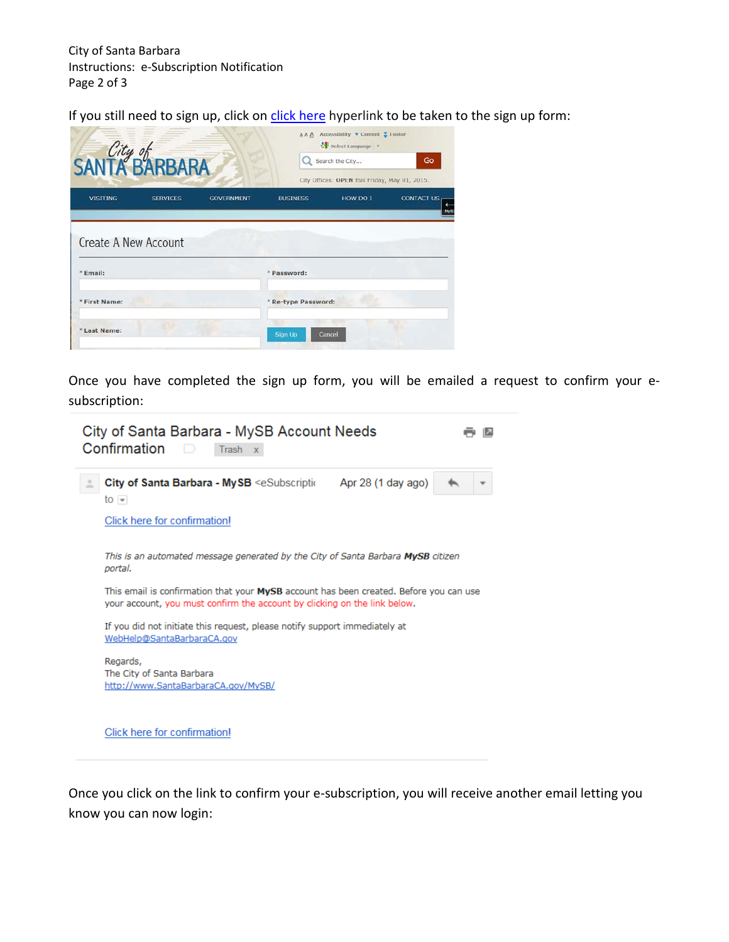If you still need to sign up, click on [click here](javascript:accountSignup();) hyperlink to be taken to the sign up form:

|                             | SANTA BARBARA        |                   |                                               | Go<br>Search the City |                   |  |
|-----------------------------|----------------------|-------------------|-----------------------------------------------|-----------------------|-------------------|--|
|                             |                      |                   | City Offices: OPEN this Friday, May 01, 2015. |                       |                   |  |
| <b>VISITING</b>             | <b>SERVICES</b>      | <b>GOVERNMENT</b> | <b>BUSINESS</b>                               | HOW DO I              | <b>CONTACT US</b> |  |
|                             | Create A New Account |                   |                                               |                       |                   |  |
|                             |                      |                   | * Password:                                   |                       |                   |  |
| $*$ Email:<br>* First Name: |                      |                   | * Re-type Password:                           |                       |                   |  |

Once you have completed the sign up form, you will be emailed a request to confirm your esubscription:

| $\frac{1}{10}$                        | City of Santa Barbara - MySB <esubscriptic< th=""><th>Apr 28 (1 day ago)</th><th></th></esubscriptic<>                                                              | Apr 28 (1 day ago) |  |
|---------------------------------------|---------------------------------------------------------------------------------------------------------------------------------------------------------------------|--------------------|--|
| Click here for confirmation!          |                                                                                                                                                                     |                    |  |
| portal.                               | This is an automated message generated by the City of Santa Barbara MySB citizen                                                                                    |                    |  |
|                                       | This email is confirmation that your MySB account has been created. Before you can use<br>your account, you must confirm the account by clicking on the link below. |                    |  |
|                                       | If you did not initiate this request, please notify support immediately at<br>WebHelp@SantaBarbaraCA.gov                                                            |                    |  |
| Regards,<br>The City of Santa Barbara | http://www.SantaBarbaraCA.gov/MySB/                                                                                                                                 |                    |  |

Once you click on the link to confirm your e-subscription, you will receive another email letting you know you can now login: